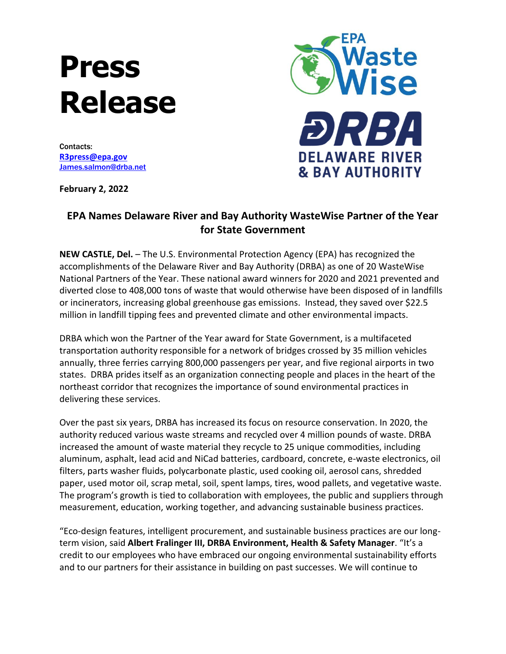## **Press Release**

Contacts: **[R3press@epa.gov](mailto:R3press@epa.gov)** [James.salmon@drba.net](mailto:James.salmon@drba.net)

**February 2, 2022**



## **EPA Names Delaware River and Bay Authority WasteWise Partner of the Year for State Government**

**NEW CASTLE, Del.** – The U.S. Environmental Protection Agency (EPA) has recognized the accomplishments of the Delaware River and Bay Authority (DRBA) as one of 20 WasteWise National Partners of the Year. These national award winners for 2020 and 2021 prevented and diverted close to 408,000 tons of waste that would otherwise have been disposed of in landfills or incinerators, increasing global greenhouse gas emissions. Instead, they saved over \$22.5 million in landfill tipping fees and prevented climate and other environmental impacts.

DRBA which won the Partner of the Year award for State Government, is a multifaceted transportation authority responsible for a network of bridges crossed by 35 million vehicles annually, three ferries carrying 800,000 passengers per year, and five regional airports in two states. DRBA prides itself as an organization connecting people and places in the heart of the northeast corridor that recognizes the importance of sound environmental practices in delivering these services.

Over the past six years, DRBA has increased its focus on resource conservation. In 2020, the authority reduced various waste streams and recycled over 4 million pounds of waste. DRBA increased the amount of waste material they recycle to 25 unique commodities, including aluminum, asphalt, lead acid and NiCad batteries, cardboard, concrete, e-waste electronics, oil filters, parts washer fluids, polycarbonate plastic, used cooking oil, aerosol cans, shredded paper, used motor oil, scrap metal, soil, spent lamps, tires, wood pallets, and vegetative waste. The program's growth is tied to collaboration with employees, the public and suppliers through measurement, education, working together, and advancing sustainable business practices.

"Eco-design features, intelligent procurement, and sustainable business practices are our longterm vision, said **Albert Fralinger III, DRBA Environment, Health & Safety Manager**. "It's a credit to our employees who have embraced our ongoing environmental sustainability efforts and to our partners for their assistance in building on past successes. We will continue to